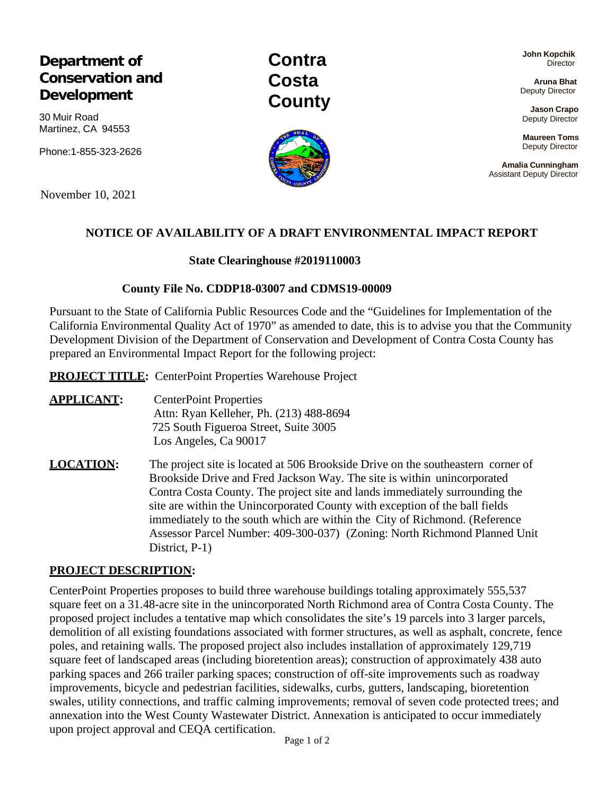# **Department of Conservation and Development**

30 Muir Road Martinez, CA 94553

Phone:1-855-323-2626

November 10, 2021

## **NOTICE OF AVAILABILITY OF A DRAFT ENVIRONMENTAL IMPACT REPORT**

#### **State Clearinghouse #2019110003**

#### **County File No. CDDP18-03007 and CDMS19-00009**

Pursuant to the State of California Public Resources Code and the "Guidelines for Implementation of the California Environmental Quality Act of 1970" as amended to date, this is to advise you that the Community Development Division of the Department of Conservation and Development of Contra Costa County has prepared an Environmental Impact Report for the following project:

**PROJECT TITLE:** CenterPoint Properties Warehouse Project

**APPLICANT:** CenterPoint Properties Attn: Ryan Kelleher, Ph. (213) 488-8694 725 South Figueroa Street, Suite 3005 Los Angeles, Ca 90017

**LOCATION:** The project site is located at 506 Brookside Drive on the southeastern corner of Brookside Drive and Fred Jackson Way. The site is within unincorporated Contra Costa County. The project site and lands immediately surrounding the site are within the Unincorporated County with exception of the ball fields immediately to the south which are within the City of Richmond. (Reference Assessor Parcel Number: 409-300-037) (Zoning: North Richmond Planned Unit District, P-1)

#### **PROJECT DESCRIPTION:**

CenterPoint Properties proposes to build three warehouse buildings totaling approximately 555,537 square feet on a 31.48-acre site in the unincorporated North Richmond area of Contra Costa County. The proposed project includes a tentative map which consolidates the site's 19 parcels into 3 larger parcels, demolition of all existing foundations associated with former structures, as well as asphalt, concrete, fence poles, and retaining walls. The proposed project also includes installation of approximately 129,719 square feet of landscaped areas (including bioretention areas); construction of approximately 438 auto parking spaces and 266 trailer parking spaces; construction of off-site improvements such as roadway improvements, bicycle and pedestrian facilities, sidewalks, curbs, gutters, landscaping, bioretention swales, utility connections, and traffic calming improvements; removal of seven code protected trees; and annexation into the West County Wastewater District. Annexation is anticipated to occur immediately upon project approval and CEQA certification.

**John Kopchik Director** 

**Aruna Bhat** Deputy Director

**Jason Crapo** Deputy Director

**Maureen Toms** Deputy Director

**Amalia Cunningham** Assistant Deputy Director



**Contra Costa**

**County**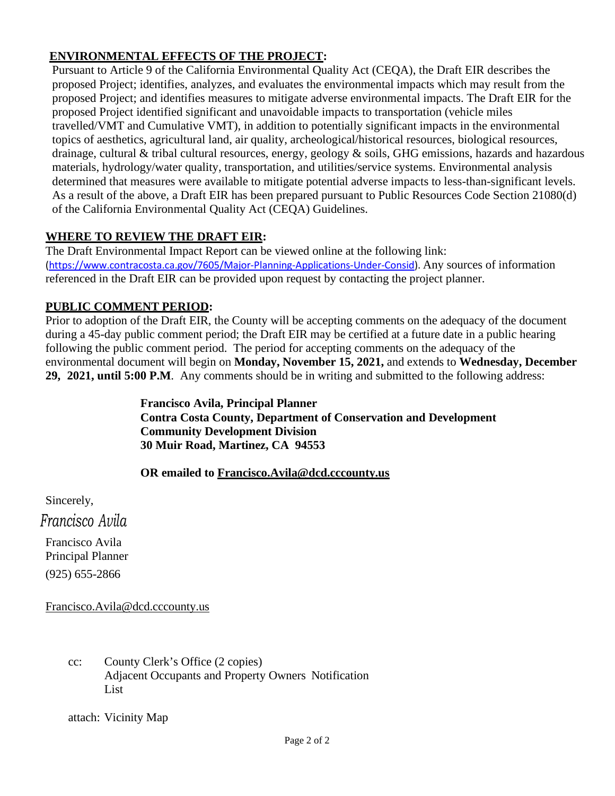# **ENVIRONMENTAL EFFECTS OF THE PROJECT:**

Pursuant to Article 9 of the California Environmental Quality Act (CEQA), the Draft EIR describes the proposed Project; identifies, analyzes, and evaluates the environmental impacts which may result from the proposed Project; and identifies measures to mitigate adverse environmental impacts. The Draft EIR for the proposed Project identified significant and unavoidable impacts to transportation (vehicle miles travelled/VMT and Cumulative VMT), in addition to potentially significant impacts in the environmental topics of aesthetics, agricultural land, air quality, archeological/historical resources, biological resources, drainage, cultural & tribal cultural resources, energy, geology & soils, GHG emissions, hazards and hazardous materials, hydrology/water quality, transportation, and utilities/service systems. Environmental analysis determined that measures were available to mitigate potential adverse impacts to less-than-significant levels. As a result of the above, a Draft EIR has been prepared pursuant to Public Resources Code Section 21080(d) of the California Environmental Quality Act (CEQA) Guidelines.

# **WHERE TO REVIEW THE DRAFT EIR:**

The Draft Environmental Impact Report can be viewed online at the following link: (https:/[/www.contracosta.ca.gov/7605/Major-Planning-Applications-Under-Consid\).](http://www.contracosta.ca.gov/7605/Major-Planning-Applications-Under-Consid)) Any sources of information referenced in the Draft EIR can be provided upon request by contacting the project planner.

## **PUBLIC COMMENT PERIOD:**

Prior to adoption of the Draft EIR, the County will be accepting comments on the adequacy of the document during a 45-day public comment period; the Draft EIR may be certified at a future date in a public hearing following the public comment period. The period for accepting comments on the adequacy of the environmental document will begin on **Monday, November 15, 2021,** and extends to **Wednesday, December 29, 2021, until 5:00 P.M**. Any comments should be in writing and submitted to the following address:

> **Francisco Avila, Principal Planner Contra Costa County, Department of Conservation and Development Community Development Division 30 Muir Road, Martinez, CA 94553**

### **OR emailed to [Francisco.Avila@dcd.cccounty.us](mailto:Francisco.Avila@dcd.cccounty.us)**

Sincerely,

*Francisco Avila*

Francisco Avila Principal Planner (925) 655-2866

[Francisco.Avila@dcd.cccounty.us](mailto:Francisco.Avila@dcd.cccounty.us)

cc: County Clerk's Office (2 copies) Adjacent Occupants and Property Owners Notification List

attach: Vicinity Map